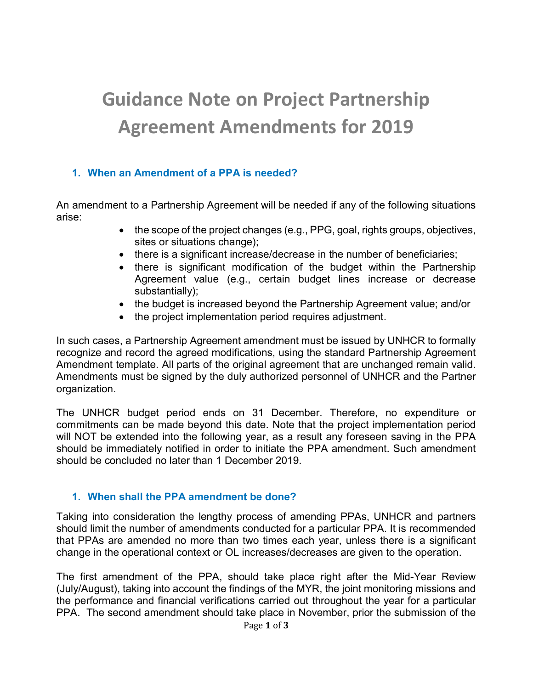# Guidance Note on Project Partnership Agreement Amendments for 2019

# 1. When an Amendment of a PPA is needed?

An amendment to a Partnership Agreement will be needed if any of the following situations arise:

- the scope of the project changes (e.g., PPG, goal, rights groups, objectives, sites or situations change);
- there is a significant increase/decrease in the number of beneficiaries;
- there is significant modification of the budget within the Partnership Agreement value (e.g., certain budget lines increase or decrease substantially);
- the budget is increased beyond the Partnership Agreement value; and/or
- the project implementation period requires adjustment.

In such cases, a Partnership Agreement amendment must be issued by UNHCR to formally recognize and record the agreed modifications, using the standard Partnership Agreement Amendment template. All parts of the original agreement that are unchanged remain valid. Amendments must be signed by the duly authorized personnel of UNHCR and the Partner organization.

The UNHCR budget period ends on 31 December. Therefore, no expenditure or commitments can be made beyond this date. Note that the project implementation period will NOT be extended into the following year, as a result any foreseen saving in the PPA should be immediately notified in order to initiate the PPA amendment. Such amendment should be concluded no later than 1 December 2019.

# 1. When shall the PPA amendment be done?

Taking into consideration the lengthy process of amending PPAs, UNHCR and partners should limit the number of amendments conducted for a particular PPA. It is recommended that PPAs are amended no more than two times each year, unless there is a significant change in the operational context or OL increases/decreases are given to the operation.

The first amendment of the PPA, should take place right after the Mid-Year Review (July/August), taking into account the findings of the MYR, the joint monitoring missions and the performance and financial verifications carried out throughout the year for a particular PPA. The second amendment should take place in November, prior the submission of the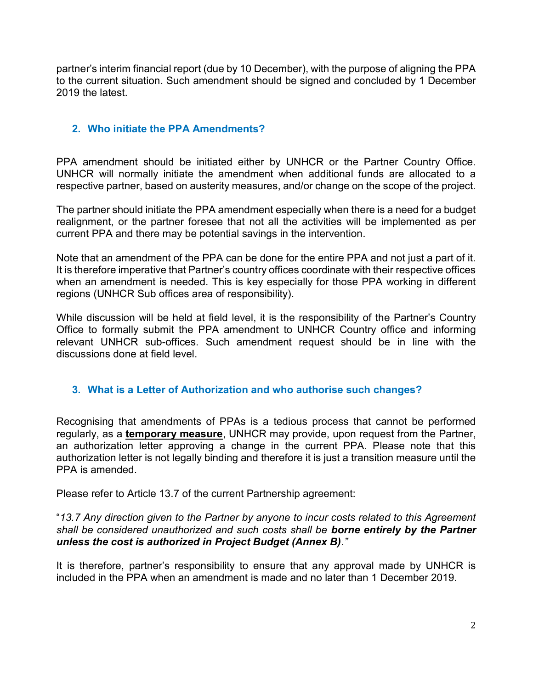partner's interim financial report (due by 10 December), with the purpose of aligning the PPA to the current situation. Such amendment should be signed and concluded by 1 December 2019 the latest.

### 2. Who initiate the PPA Amendments?

PPA amendment should be initiated either by UNHCR or the Partner Country Office. UNHCR will normally initiate the amendment when additional funds are allocated to a respective partner, based on austerity measures, and/or change on the scope of the project.

The partner should initiate the PPA amendment especially when there is a need for a budget realignment, or the partner foresee that not all the activities will be implemented as per current PPA and there may be potential savings in the intervention.

Note that an amendment of the PPA can be done for the entire PPA and not just a part of it. It is therefore imperative that Partner's country offices coordinate with their respective offices when an amendment is needed. This is key especially for those PPA working in different regions (UNHCR Sub offices area of responsibility).

While discussion will be held at field level, it is the responsibility of the Partner's Country Office to formally submit the PPA amendment to UNHCR Country office and informing relevant UNHCR sub-offices. Such amendment request should be in line with the discussions done at field level.

#### 3. What is a Letter of Authorization and who authorise such changes?

Recognising that amendments of PPAs is a tedious process that cannot be performed regularly, as a temporary measure, UNHCR may provide, upon request from the Partner, an authorization letter approving a change in the current PPA. Please note that this authorization letter is not legally binding and therefore it is just a transition measure until the PPA is amended.

Please refer to Article 13.7 of the current Partnership agreement:

#### "13.7 Any direction given to the Partner by anyone to incur costs related to this Agreement shall be considered unauthorized and such costs shall be borne entirely by the Partner unless the cost is authorized in Project Budget (Annex B)."

It is therefore, partner's responsibility to ensure that any approval made by UNHCR is included in the PPA when an amendment is made and no later than 1 December 2019.